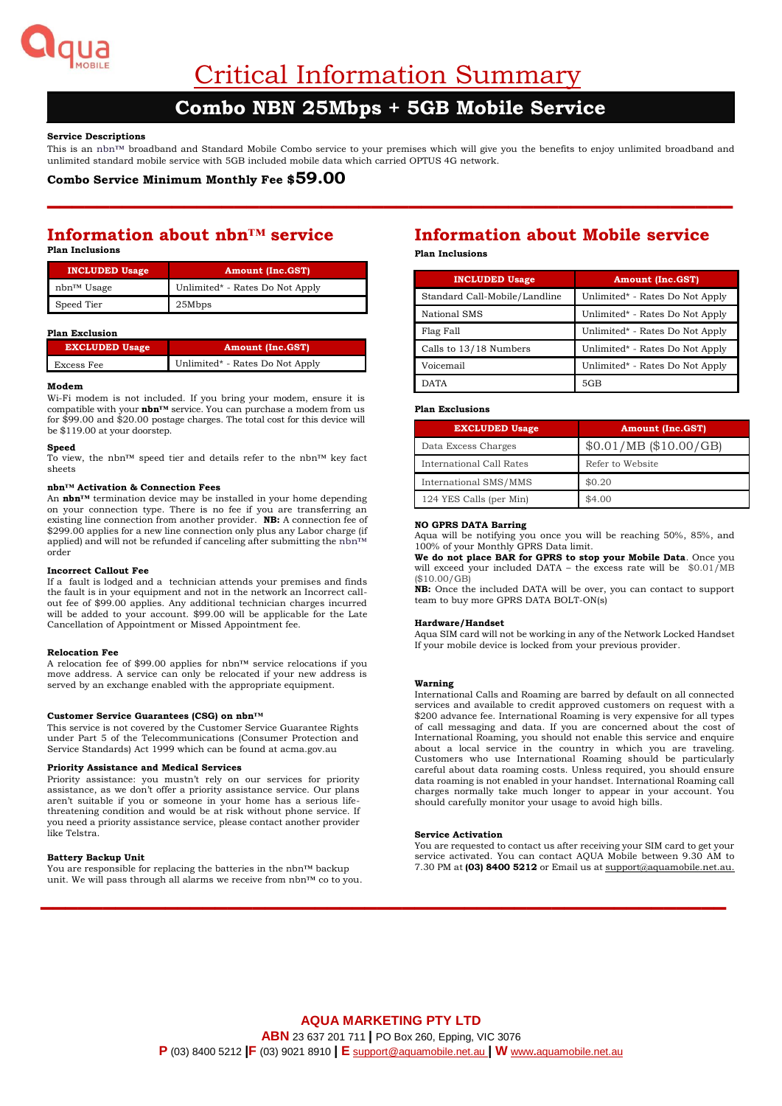

Critical Information Summary

# **Combo NBN 25Mbps + 5GB Mobile Service**

# **Service Descriptions**

This is an nbn™ broadband and Standard Mobile Combo service to your premises which will give you the benefits to enjoy unlimited broadband and unlimited standard mobile service with 5GB included mobile data which carried OPTUS 4G network.

**–––––––––––––––––––––––––––––––––––––––––––––––––––––––**

# **Combo Service Minimum Monthly Fee \$59.00**

# **Information about nbn™ service Plan Inclusions**

| <b>INCLUDED Usage</b> | <b>Amount (Inc.GST)</b>         |
|-----------------------|---------------------------------|
| nbn™ Usage            | Unlimited* - Rates Do Not Apply |
| Speed Tier            | 25Mbps                          |

#### **Plan Exclusion**

| <b>EXCLUDED Usage</b> | Amount (Inc.GST)                |
|-----------------------|---------------------------------|
| Excess Fee            | Unlimited* - Rates Do Not Apply |

## **Modem**

Wi-Fi modem is not included. If you bring your modem, ensure it is compatible with your **nbn™** service. You can purchase a modem from us for \$99.00 and \$20.00 postage charges. The total cost for this device will be \$119.00 at your doorstep.

#### **Speed**

To view, the nbn™ speed tier and details refer to the nbn™ key fact sheets

#### **nbn™ Activation & Connection Fees**

An **nbn™** termination device may be installed in your home depending on your connection type. There is no fee if you are transferring an existing line connection from another provider. **NB:** A connection fee of \$299.00 applies for a new line connection only plus any Labor charge (if applied) and will not be refunded if canceling after submitting the nbn™ order

#### **Incorrect Callout Fee**

If a fault is lodged and a technician attends your premises and finds the fault is in your equipment and not in the network an Incorrect callout fee of \$99.00 applies. Any additional technician charges incurred will be added to your account. \$99.00 will be applicable for the Late Cancellation of Appointment or Missed Appointment fee.

#### **Relocation Fee**

A relocation fee of \$99.00 applies for nbn™ service relocations if you move address. A service can only be relocated if your new address is served by an exchange enabled with the appropriate equipment.

#### **Customer Service Guarantees (CSG) on nbn™**

This service is not covered by the Customer Service Guarantee Rights under Part 5 of the Telecommunications (Consumer Protection and Service Standards) Act 1999 which can be found at acma.gov.au

### **Priority Assistance and Medical Services**

Priority assistance: you mustn't rely on our services for priority assistance, as we don't offer a priority assistance service. Our plans aren't suitable if you or someone in your home has a serious lifethreatening condition and would be at risk without phone service. If you need a priority assistance service, please contact another provider like Telstra.

#### **Battery Backup Unit**

You are responsible for replacing the batteries in the nbn™ backup unit. We will pass through all alarms we receive from nbn™ co to you.

# **Information about Mobile service**

**Plan Inclusions**

| <b>INCLUDED Usage</b>         | <b>Amount (Inc.GST)</b>         |  |
|-------------------------------|---------------------------------|--|
| Standard Call-Mobile/Landline | Unlimited* - Rates Do Not Apply |  |
| National SMS                  | Unlimited* - Rates Do Not Apply |  |
| Flag Fall                     | Unlimited* - Rates Do Not Apply |  |
| Calls to 13/18 Numbers        | Unlimited* - Rates Do Not Apply |  |
| Voicemail                     | Unlimited* - Rates Do Not Apply |  |
| <b>DATA</b>                   | 5GB                             |  |

## **Plan Exclusions**

| <b>EXCLUDED Usage</b>    | <b>Amount (Inc.GST)</b> |
|--------------------------|-------------------------|
| Data Excess Charges      | \$0.01/MB (\$10.00/GB)  |
| International Call Rates | Refer to Website        |
| International SMS/MMS    | \$0.20                  |
| 124 YES Calls (per Min)  | \$4.00                  |

# **NO GPRS DATA Barring**

Aqua will be notifying you once you will be reaching 50%, 85%, and 100% of your Monthly GPRS Data limit.

**We do not place BAR for GPRS to stop your Mobile Data**. Once you will exceed your included DATA – the excess rate will be  $$0.01/MB$ (\$10.00/GB)

**NB:** Once the included DATA will be over, you can contact to support team to buy more GPRS DATA BOLT-ON(s)

#### **Hardware/Handset**

Aqua SIM card will not be working in any of the Network Locked Handset If your mobile device is locked from your previous provider.

#### **Warning**

International Calls and Roaming are barred by default on all connected services and available to credit approved customers on request with a \$200 advance fee. International Roaming is very expensive for all types of call messaging and data. If you are concerned about the cost of International Roaming, you should not enable this service and enquire about a local service in the country in which you are traveling. Customers who use International Roaming should be particularly careful about data roaming costs. Unless required, you should ensure data roaming is not enabled in your handset. International Roaming call charges normally take much longer to appear in your account. You should carefully monitor your usage to avoid high bills.

#### **Service Activation**

You are requested to contact us after receiving your SIM card to get your service activated. You can contact AQUA Mobile between 9.30 AM to 7.30 PM at **(03) 8400 5212** or Email us a[t support@aquamobile.net.au.](mailto:support@aquamobile.net.au)

**–––––––––––––––––––––––––––––––––––––––––––––––––––––––**